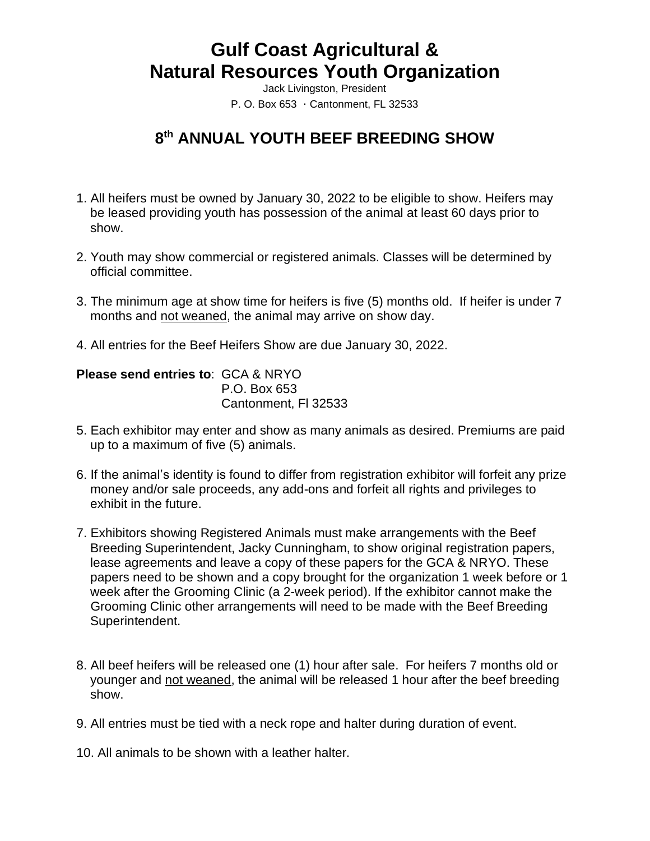# **Gulf Coast Agricultural & Natural Resources Youth Organization**

Jack Livingston, President P. O. Box  $653 \cdot$  Cantonment, FL 32533

## **8 th ANNUAL YOUTH BEEF BREEDING SHOW**

- 1. All heifers must be owned by January 30, 2022 to be eligible to show. Heifers may be leased providing youth has possession of the animal at least 60 days prior to show.
- 2. Youth may show commercial or registered animals. Classes will be determined by official committee.
- 3. The minimum age at show time for heifers is five (5) months old. If heifer is under 7 months and not weaned, the animal may arrive on show day.
- 4. All entries for the Beef Heifers Show are due January 30, 2022.

#### **Please send entries to**: GCA & NRYO P.O. Box 653 Cantonment, Fl 32533

- 5. Each exhibitor may enter and show as many animals as desired. Premiums are paid up to a maximum of five (5) animals.
- 6. If the animal's identity is found to differ from registration exhibitor will forfeit any prize money and/or sale proceeds, any add-ons and forfeit all rights and privileges to exhibit in the future.
- 7. Exhibitors showing Registered Animals must make arrangements with the Beef Breeding Superintendent, Jacky Cunningham, to show original registration papers, lease agreements and leave a copy of these papers for the GCA & NRYO. These papers need to be shown and a copy brought for the organization 1 week before or 1 week after the Grooming Clinic (a 2-week period). If the exhibitor cannot make the Grooming Clinic other arrangements will need to be made with the Beef Breeding Superintendent.
- 8. All beef heifers will be released one (1) hour after sale. For heifers 7 months old or younger and not weaned, the animal will be released 1 hour after the beef breeding show.
- 9. All entries must be tied with a neck rope and halter during duration of event.
- 10. All animals to be shown with a leather halter.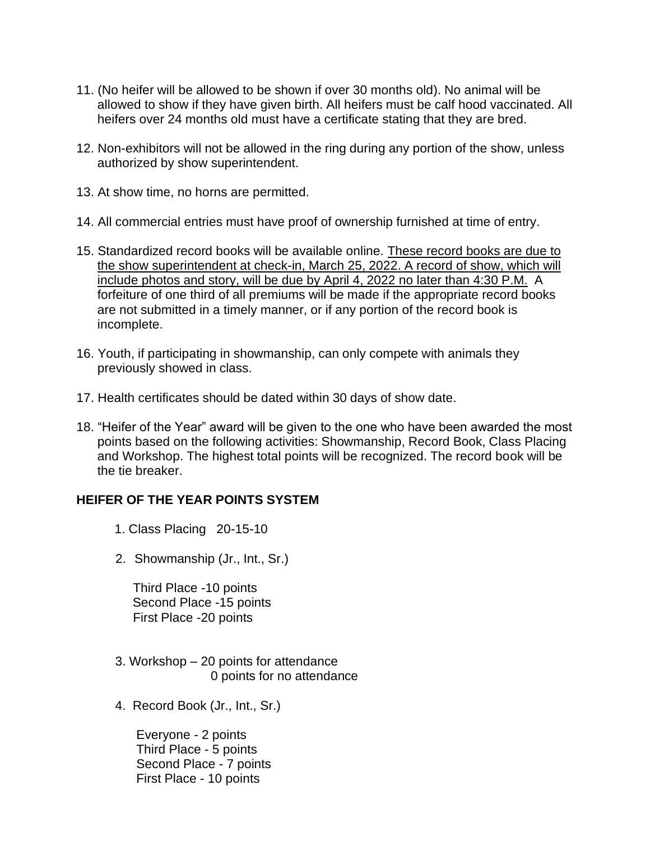- 11. (No heifer will be allowed to be shown if over 30 months old). No animal will be allowed to show if they have given birth. All heifers must be calf hood vaccinated. All heifers over 24 months old must have a certificate stating that they are bred.
- 12. Non-exhibitors will not be allowed in the ring during any portion of the show, unless authorized by show superintendent.
- 13. At show time, no horns are permitted.
- 14. All commercial entries must have proof of ownership furnished at time of entry.
- 15. Standardized record books will be available online. These record books are due to the show superintendent at check-in, March 25, 2022. A record of show, which will include photos and story, will be due by April 4, 2022 no later than 4:30 P.M. A forfeiture of one third of all premiums will be made if the appropriate record books are not submitted in a timely manner, or if any portion of the record book is incomplete.
- 16. Youth, if participating in showmanship, can only compete with animals they previously showed in class.
- 17. Health certificates should be dated within 30 days of show date.
- 18. "Heifer of the Year" award will be given to the one who have been awarded the most points based on the following activities: Showmanship, Record Book, Class Placing and Workshop. The highest total points will be recognized. The record book will be the tie breaker.

#### **HEIFER OF THE YEAR POINTS SYSTEM**

- 1. Class Placing 20-15-10
- 2. Showmanship (Jr., Int., Sr.)

 Third Place -10 points Second Place -15 points First Place -20 points

- 3. Workshop 20 points for attendance 0 points for no attendance
- 4. Record Book (Jr., Int., Sr.)

 Everyone - 2 points Third Place - 5 points Second Place - 7 points First Place - 10 points